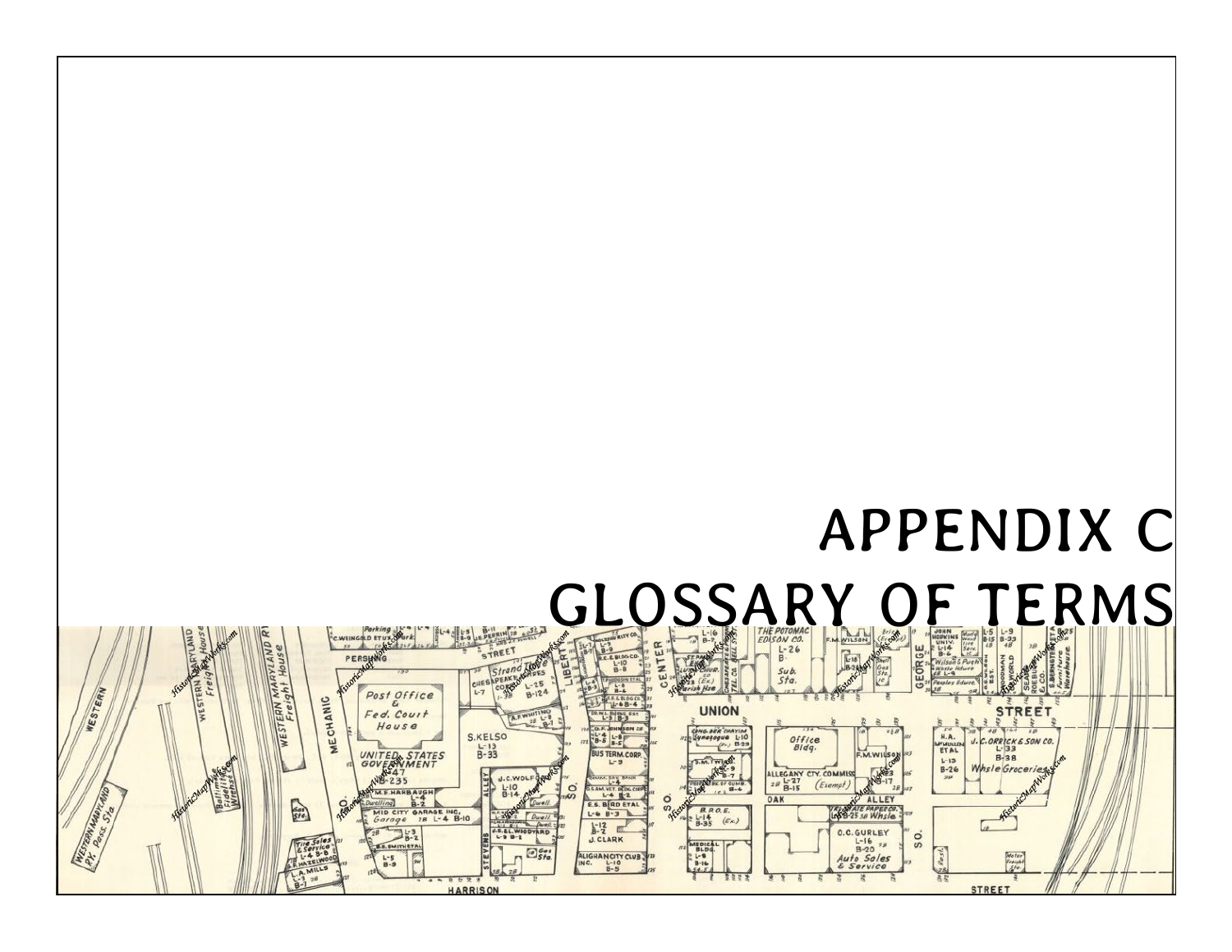# APPENDIX C

# GLOSSARY OF FRMS

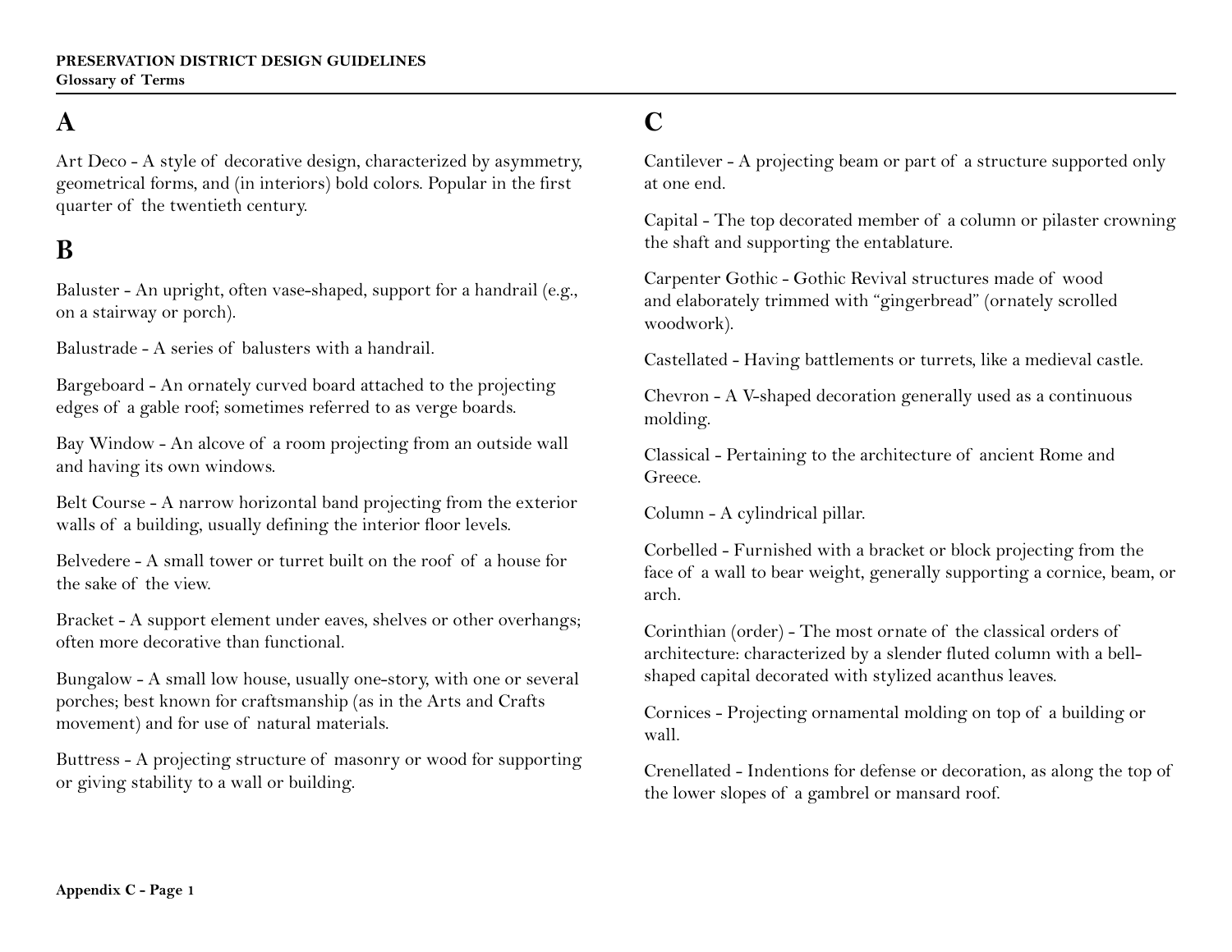# **A**

Art Deco - A style of decorative design, characterized by asymmetry, geometrical forms, and (in interiors) bold colors. Popular in the first quarter of the twentieth century.

#### **B**

Baluster - An upright, often vase-shaped, support for a handrail (e.g., on a stairway or porch).

Balustrade - A series of balusters with a handrail.

Bargeboard - An ornately curved board attached to the projecting edges of a gable roof; sometimes referred to as verge boards.

Bay Window - An alcove of a room projecting from an outside wall and having its own windows.

Belt Course - A narrow horizontal band projecting from the exterior walls of a building, usually defining the interior floor levels.

Belvedere - A small tower or turret built on the roof of a house for the sake of the view.

Bracket - A support element under eaves, shelves or other overhangs; often more decorative than functional.

Bungalow - A small low house, usually one-story, with one or several porches; best known for craftsmanship (as in the Arts and Crafts movement) and for use of natural materials.

Buttress - A projecting structure of masonry or wood for supporting or giving stability to a wall or building.

# **C**

Cantilever - A projecting beam or part of a structure supported only at one end.

Capital - The top decorated member of a column or pilaster crowning the shaft and supporting the entablature.

Carpenter Gothic - Gothic Revival structures made of wood and elaborately trimmed with "gingerbread" (ornately scrolled woodwork).

Castellated - Having battlements or turrets, like a medieval castle.

Chevron - A V-shaped decoration generally used as a continuous molding.

Classical - Pertaining to the architecture of ancient Rome and Greece.

Column - A cylindrical pillar.

Corbelled - Furnished with a bracket or block projecting from the face of a wall to bear weight, generally supporting a cornice, beam, or arch.

Corinthian (order) - The most ornate of the classical orders of architecture: characterized by a slender fluted column with a bellshaped capital decorated with stylized acanthus leaves.

Cornices - Projecting ornamental molding on top of a building or wall.

Crenellated - Indentions for defense or decoration, as along the top of the lower slopes of a gambrel or mansard roof.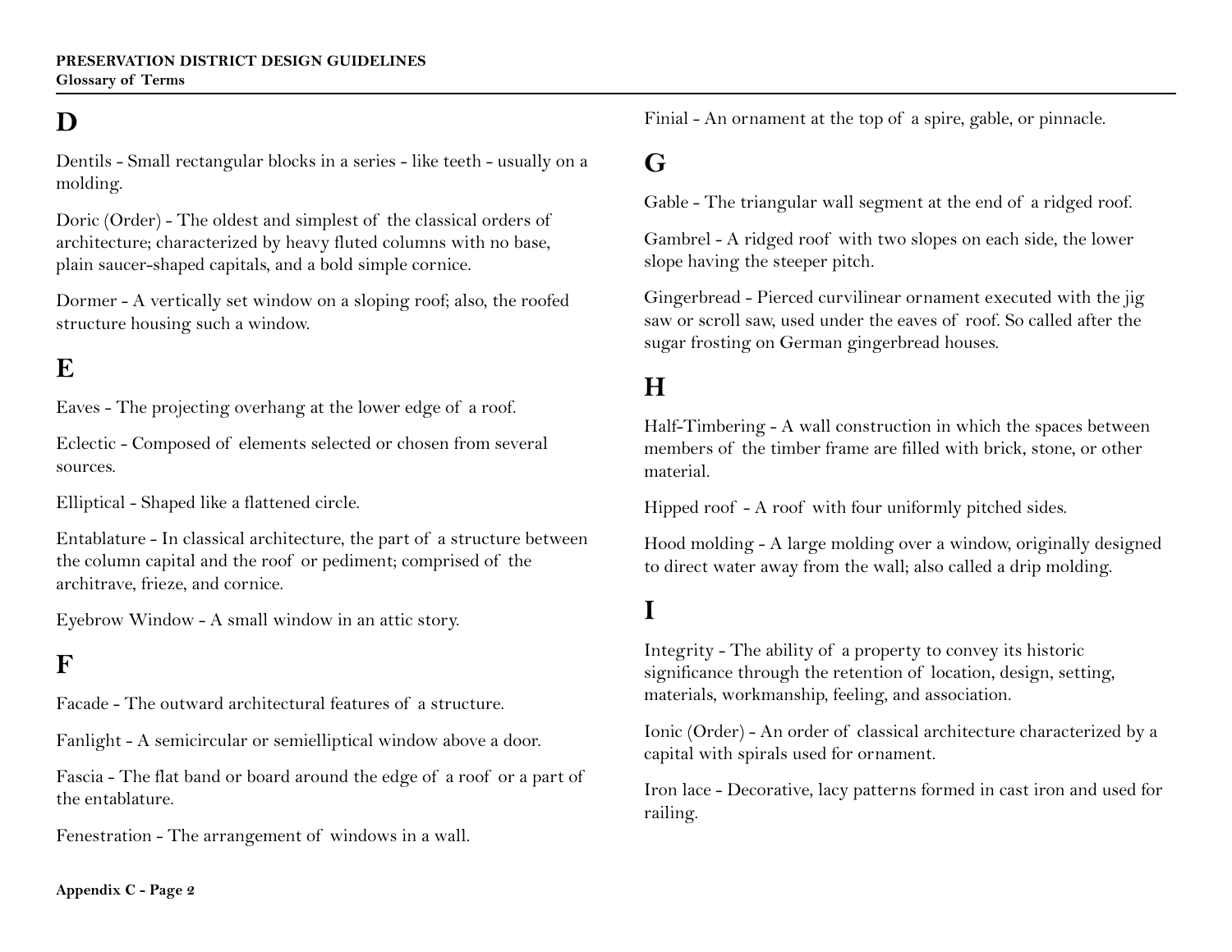# **D**

Dentils - Small rectangular blocks in a series - like teeth - usually on a molding.

Doric (Order) - The oldest and simplest of the classical orders of architecture; characterized by heavy fluted columns with no base, plain saucer-shaped capitals, and a bold simple cornice.

Dormer - A vertically set window on a sloping roof; also, the roofed structure housing such a window.

#### **E**

Eaves - The projecting overhang at the lower edge of a roof.

Eclectic - Composed of elements selected or chosen from several sources.

Elliptical - Shaped like a flattened circle.

Entablature - In classical architecture, the part of a structure between the column capital and the roof or pediment; comprised of the architrave, frieze, and cornice.

Eyebrow Window - A small window in an attic story.

#### **F**

Facade - The outward architectural features of a structure.

Fanlight - A semicircular or semielliptical window above a door.

Fascia - The flat band or board around the edge of a roof or a part of the entablature.

Fenestration - The arrangement of windows in a wall.

Finial - An ornament at the top of a spire, gable, or pinnacle.

#### **G**

Gable - The triangular wall segment at the end of a ridged roof.

Gambrel - A ridged roof with two slopes on each side, the lower slope having the steeper pitch.

Gingerbread - Pierced curvilinear ornament executed with the jig saw or scroll saw, used under the eaves of roof. So called after the sugar frosting on German gingerbread houses.

#### **H**

Half-Timbering - A wall construction in which the spaces between members of the timber frame are filled with brick, stone, or other material.

Hipped roof - A roof with four uniformly pitched sides.

Hood molding - A large molding over a window, originally designed to direct water away from the wall; also called a drip molding.

#### **I**

Integrity - The ability of a property to convey its historic significance through the retention of location, design, setting, materials, workmanship, feeling, and association.

Ionic (Order) - An order of classical architecture characterized by a capital with spirals used for ornament.

Iron lace - Decorative, lacy patterns formed in cast iron and used for railing.

**Appendix C - Page 2**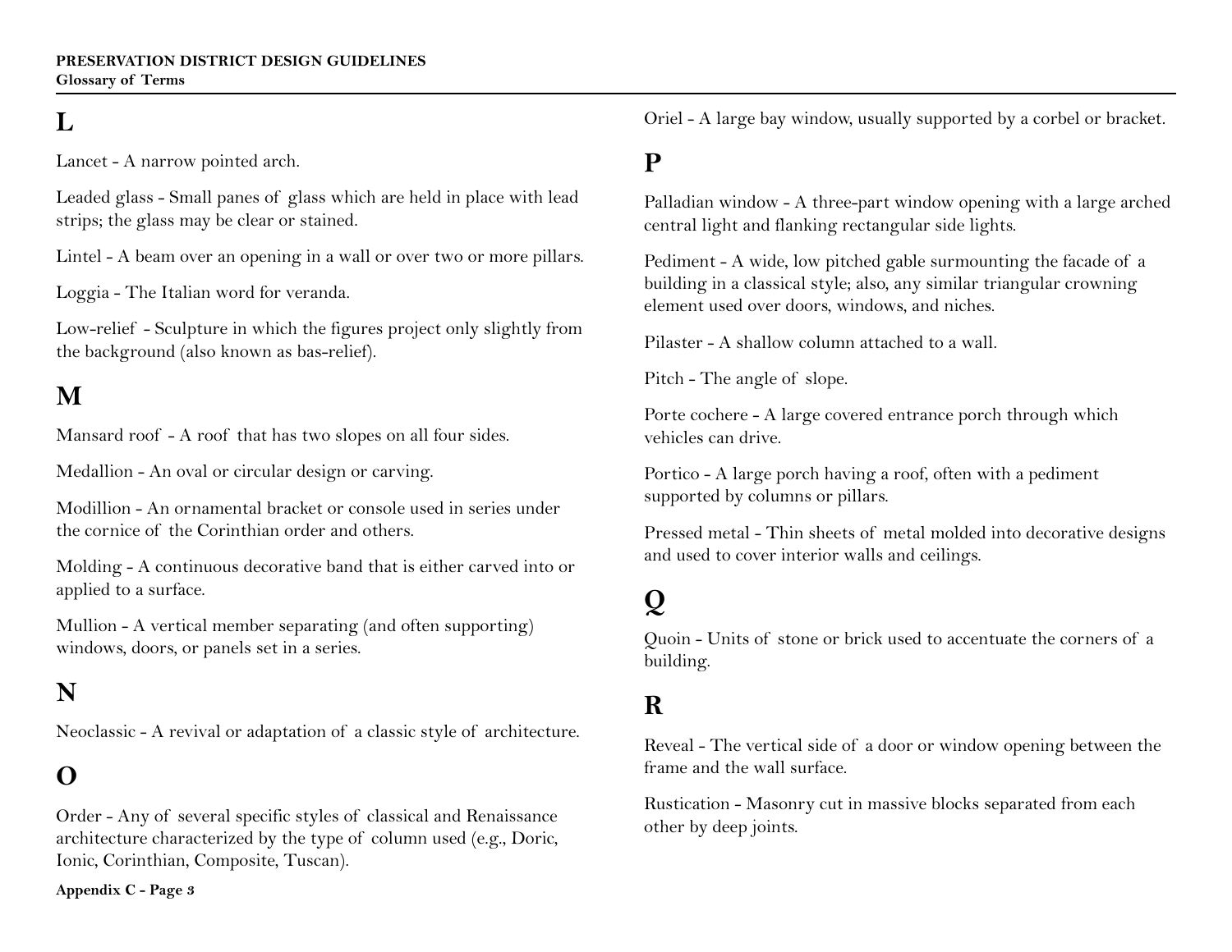# **L**

Lancet - A narrow pointed arch.

Leaded glass - Small panes of glass which are held in place with lead strips; the glass may be clear or stained.

Lintel - A beam over an opening in a wall or over two or more pillars.

Loggia - The Italian word for veranda.

Low-relief - Sculpture in which the figures project only slightly from the background (also known as bas-relief).

# **M**

Mansard roof - A roof that has two slopes on all four sides.

Medallion - An oval or circular design or carving.

Modillion - An ornamental bracket or console used in series under the cornice of the Corinthian order and others.

Molding - A continuous decorative band that is either carved into or applied to a surface.

Mullion - A vertical member separating (and often supporting) windows, doors, or panels set in a series.

#### **N**

Neoclassic - A revival or adaptation of a classic style of architecture.

# **O**

Order - Any of several specific styles of classical and Renaissance architecture characterized by the type of column used (e.g., Doric, Ionic, Corinthian, Composite, Tuscan).

**Appendix C - Page 3** 

Oriel - A large bay window, usually supported by a corbel or bracket.

# **P**

Palladian window - A three-part window opening with a large arched central light and flanking rectangular side lights.

Pediment - A wide, low pitched gable surmounting the facade of a building in a classical style; also, any similar triangular crowning element used over doors, windows, and niches.

Pilaster - A shallow column attached to a wall.

Pitch - The angle of slope.

Porte cochere - A large covered entrance porch through which vehicles can drive.

Portico - A large porch having a roof, often with a pediment supported by columns or pillars.

Pressed metal - Thin sheets of metal molded into decorative designs and used to cover interior walls and ceilings.

# **Q**

Quoin - Units of stone or brick used to accentuate the corners of a building.

#### **R**

Reveal - The vertical side of a door or window opening between the frame and the wall surface.

Rustication - Masonry cut in massive blocks separated from each other by deep joints.